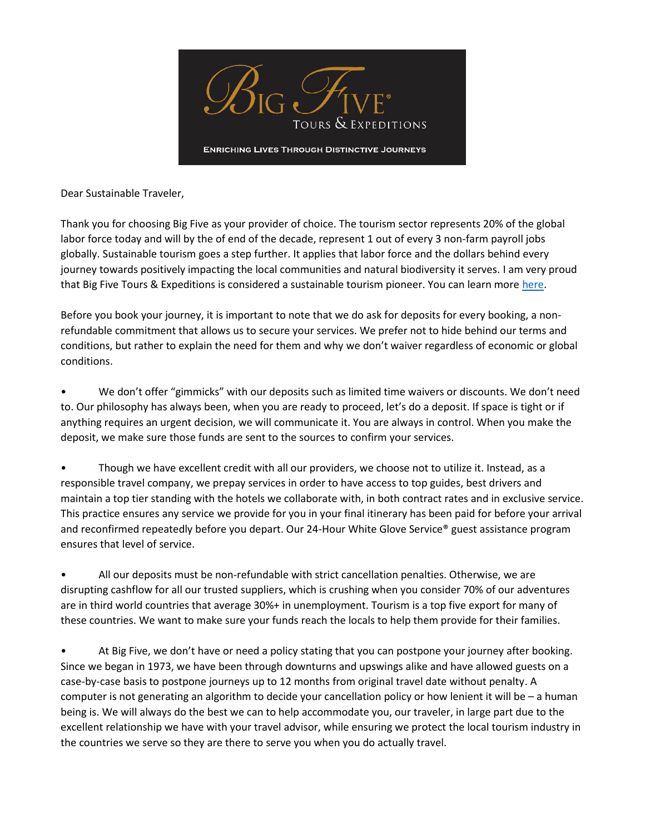

Dear Sustainable Traveler,

Thank you for choosing Big Five as your provider of choice. The tourism sector represents 20% of the global labor force today and will by the of end of the decade, represent 1 out of every 3 non-farm payroll jobs globally. Sustainable tourism goes a step further. It applies that labor force and the dollars behind every journey towards positively impacting the local communities and natural biodiversity it serves. I am very proud that Big Five Tours & Expeditions is considered a sustainable tourism pioneer. You can learn mor[e here.](https://bigfive.com/sustainable-tourism-big-five/)

Before you book your journey, it is important to note that we do ask for deposits for every booking, a nonrefundable commitment that allows us to secure your services. We prefer not to hide behind our terms and conditions, but rather to explain the need for them and why we don't waiver regardless of economic or global conditions.

• We don't offer "gimmicks" with our deposits such as limited time waivers or discounts. We don't need to. Our philosophy has always been, when you are ready to proceed, let's do a deposit. If space is tight or if anything requires an urgent decision, we will communicate it. You are always in control. When you make the deposit, we make sure those funds are sent to the sources to confirm your services.

• Though we have excellent credit with all our providers, we choose not to utilize it. Instead, as a responsible travel company, we prepay services in order to have access to top guides, best drivers and maintain a top tier standing with the hotels we collaborate with, in both contract rates and in exclusive service. This practice ensures any service we provide for you in your final itinerary has been paid for before your arrival and reconfirmed repeatedly before you depart. Our 24-Hour White Glove Service® guest assistance program ensures that level of service.

• All our deposits must be non-refundable with strict cancellation penalties. Otherwise, we are disrupting cashflow for all our trusted suppliers, which is crushing when you consider 70% of our adventures are in third world countries that average 30%+ in unemployment. Tourism is a top five export for many of these countries. We want to make sure your funds reach the locals to help them provide for their families.

• At Big Five, we don't have or need a policy stating that you can postpone your journey after booking. Since we began in 1973, we have been through downturns and upswings alike and have allowed guests on a case-by-case basis to postpone journeys up to 12 months from original travel date without penalty. A computer is not generating an algorithm to decide your cancellation policy or how lenient it will be – a human being is. We will always do the best we can to help accommodate you, our traveler, in large part due to the excellent relationship we have with your travel advisor, while ensuring we protect the local tourism industry in the countries we serve so they are there to serve you when you do actually travel.